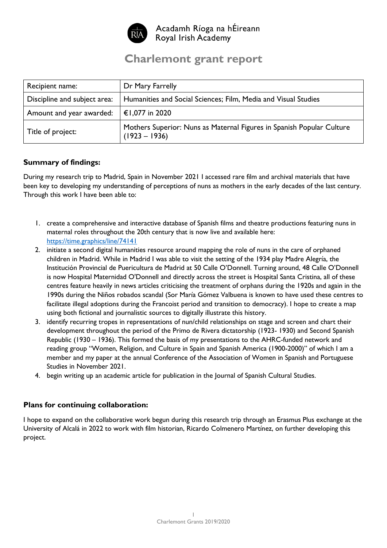

# **Charlemont grant report**

| Recipient name:              | Dr Mary Farrelly                                                                         |
|------------------------------|------------------------------------------------------------------------------------------|
| Discipline and subject area: | Humanities and Social Sciences; Film, Media and Visual Studies                           |
| Amount and year awarded:     | €1,077 in 2020                                                                           |
| Title of project:            | Mothers Superior: Nuns as Maternal Figures in Spanish Popular Culture<br>$(1923 - 1936)$ |

# **Summary of findings:**

During my research trip to Madrid, Spain in November 2021 I accessed rare film and archival materials that have been key to developing my understanding of perceptions of nuns as mothers in the early decades of the last century. Through this work I have been able to:

- 1. create a comprehensive and interactive database of Spanish films and theatre productions featuring nuns in maternal roles throughout the 20th century that is now live and available here: <https://time.graphics/line/74141>
- 2. initiate a second digital humanities resource around mapping the role of nuns in the care of orphaned children in Madrid. While in Madrid I was able to visit the setting of the 1934 play Madre Alegría, the Institución Provincial de Puericultura de Madrid at 50 Calle O'Donnell. Turning around, 48 Calle O'Donnell is now Hospital Maternidad O'Donnell and directly across the street is Hospital Santa Cristina, all of these centres feature heavily in news articles criticising the treatment of orphans during the 1920s and again in the 1990s during the Niños robados scandal (Sor María Gómez Valbuena is known to have used these centres to facilitate illegal adoptions during the Francoist period and transition to democracy). I hope to create a map using both fictional and journalistic sources to digitally illustrate this history.
- 3. identify recurring tropes in representations of nun/child relationships on stage and screen and chart their development throughout the period of the Primo de Rivera dictatorship (1923- 1930) and Second Spanish Republic (1930 – 1936). This formed the basis of my presentations to the AHRC-funded network and reading group "Women, Religion, and Culture in Spain and Spanish America (1900-2000)" of which I am a member and my paper at the annual Conference of the Association of Women in Spanish and Portuguese Studies in November 2021.
- 4. begin writing up an academic article for publication in the Journal of Spanish Cultural Studies.

## **Plans for continuing collaboration:**

I hope to expand on the collaborative work begun during this research trip through an Erasmus Plus exchange at the University of Alcalá in 2022 to work with film historian, Ricardo Colmenero Martínez, on further developing this project.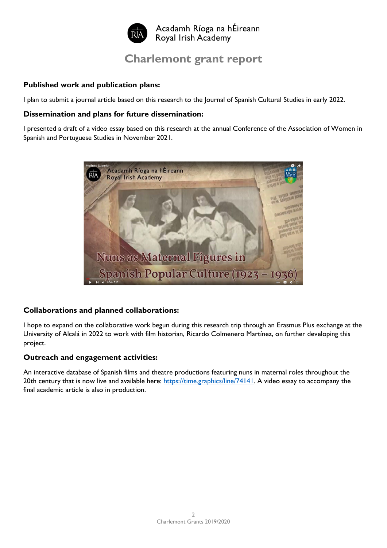

# **Charlemont grant report**

#### **Published work and publication plans:**

I plan to submit a journal article based on this research to the Journal of Spanish Cultural Studies in early 2022.

#### **Dissemination and plans for future dissemination:**

I presented a draft of a video essay based on this research at the annual Conference of the Association of Women in Spanish and Portuguese Studies in November 2021.



## **Collaborations and planned collaborations:**

I hope to expand on the collaborative work begun during this research trip through an Erasmus Plus exchange at the University of Alcalá in 2022 to work with film historian, Ricardo Colmenero Martínez, on further developing this project.

## **Outreach and engagement activities:**

An interactive database of Spanish films and theatre productions featuring nuns in maternal roles throughout the 20th century that is now live and available here: [https://time.graphics/line/74141.](https://time.graphics/line/74141) A video essay to accompany the final academic article is also in production.